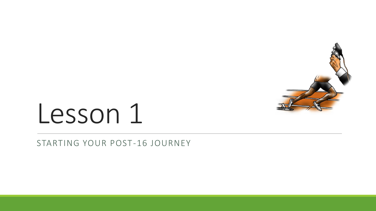

# Lesson 1

STARTING YOUR POST-16 JOURNEY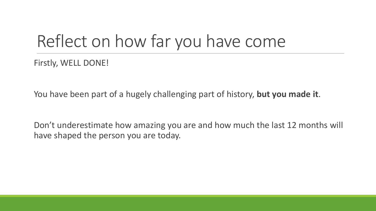## Reflect on how far you have come

Firstly, WELL DONE!

You have been part of a hugely challenging part of history, **but you made it**.

Don't underestimate how amazing you are and how much the last 12 months will have shaped the person you are today.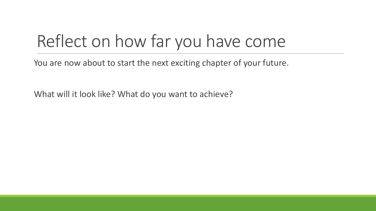## Reflect on how far you have come

You are now about to start the next exciting chapter of your future.

What will it look like? What do you want to achieve?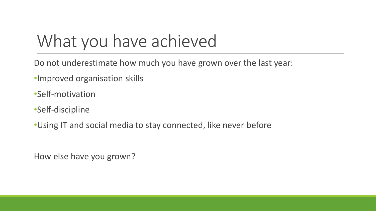## What you have achieved

Do not underestimate how much you have grown over the last year:

•Improved organisation skills

•Self-motivation

•Self-discipline

•Using IT and social media to stay connected, like never before

How else have you grown?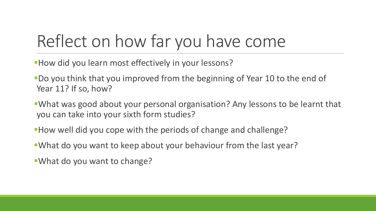## Reflect on how far you have come

- **How did you learn most effectively in your lessons?**
- **-Do you think that you improved from the beginning of Year 10 to the end of** Year 11? If so, how?
- **What was good about your personal organisation? Any lessons to be learnt that** you can take into your sixth form studies?
- ▪How well did you cope with the periods of change and challenge?
- **. What do you want to keep about your behaviour from the last year?**
- ▪What do you want to change?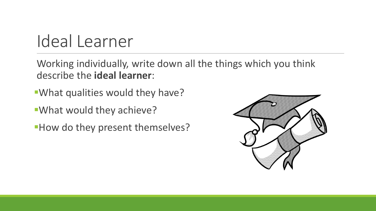## Ideal Learner

Working individually, write down all the things which you think describe the **ideal learner**:

- **What qualities would they have?**
- **What would they achieve?**
- **How do they present themselves?**

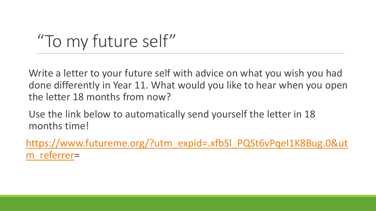## "To my future self"

Write a letter to your future self with advice on what you wish you had done differently in Year 11. What would you like to hear when you open the letter 18 months from now?

Use the link below to automatically send yourself the letter in 18 months time!

[https://www.futureme.org/?utm\\_expid=.xfbSl\\_PQSt6vPqeI1K8Bug.0&ut](https://www.futureme.org/?utm_expid=.xfbSl_PQSt6vPqeI1K8Bug.0&utm_referrer) m\_referrer=